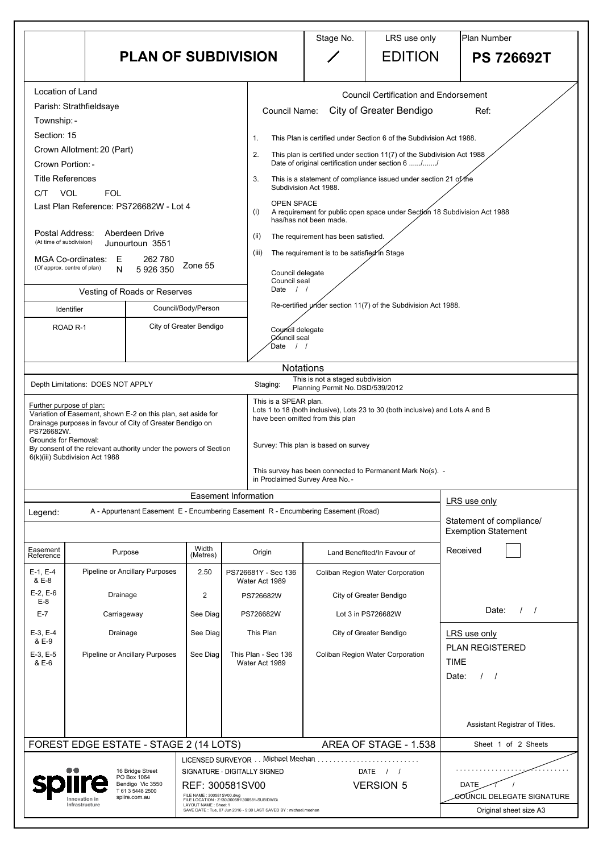|                                                                                                                                                                                                                                                                                                                         |                                                                                                                                                                                                                                                                                                  |                                                          |                                                    |                                                                                                                                                                                                         | Stage No.                                                                                                                                                                                                                                                                                                                                                                                                                                                                                                                                                                                                            | LRS use only                                                                                                                                | Plan Number                                            |                                                       |  |
|-------------------------------------------------------------------------------------------------------------------------------------------------------------------------------------------------------------------------------------------------------------------------------------------------------------------------|--------------------------------------------------------------------------------------------------------------------------------------------------------------------------------------------------------------------------------------------------------------------------------------------------|----------------------------------------------------------|----------------------------------------------------|---------------------------------------------------------------------------------------------------------------------------------------------------------------------------------------------------------|----------------------------------------------------------------------------------------------------------------------------------------------------------------------------------------------------------------------------------------------------------------------------------------------------------------------------------------------------------------------------------------------------------------------------------------------------------------------------------------------------------------------------------------------------------------------------------------------------------------------|---------------------------------------------------------------------------------------------------------------------------------------------|--------------------------------------------------------|-------------------------------------------------------|--|
|                                                                                                                                                                                                                                                                                                                         | <b>PLAN OF SUBDIVISION</b>                                                                                                                                                                                                                                                                       |                                                          |                                                    |                                                                                                                                                                                                         |                                                                                                                                                                                                                                                                                                                                                                                                                                                                                                                                                                                                                      | <b>EDITION</b>                                                                                                                              |                                                        | <b>PS 726692T</b>                                     |  |
| Location of Land<br>Parish: Strathfieldsaye<br>Township: -<br>Section: 15<br>Crown Allotment: 20 (Part)<br>Crown Portion: -<br><b>Title References</b><br><b>VOL</b><br><b>FOL</b><br>C/T<br>Last Plan Reference: PS726682W - Lot 4<br>Postal Address:<br>Aberdeen Drive<br>(At time of subdivision)<br>Junourtoun 3551 |                                                                                                                                                                                                                                                                                                  |                                                          |                                                    | 1.<br>2.<br>3.<br>(i)<br>(ii)<br>(iii)                                                                                                                                                                  | <b>Council Certification and Endorsement</b><br>City of Greater Bendigo<br><b>Council Name:</b><br>This Plan is certified under Section 6 of the Subdivision Act 1988.<br>This plan is certified under section 11(7) of the Subdivision Act 1988<br>Date of original certification under section 6 //<br>This is a statement of compliance issued under section 21 of the<br>Subdivision Act 1988.<br><b>OPEN SPACE</b><br>A requirement for public open space under Section 18 Subdivision Act 1988<br>has/has not been made.<br>The requirement has been satisfied.<br>The requirement is to be satisfied in Stage |                                                                                                                                             |                                                        | Ref:                                                  |  |
| <b>MGA Co-ordinates:</b><br>E<br>262 780<br>Zone 55<br>(Of approx. centre of plan)<br>5 926 350<br>$\mathsf{N}$                                                                                                                                                                                                         |                                                                                                                                                                                                                                                                                                  |                                                          |                                                    |                                                                                                                                                                                                         | Council delegate<br>Council seal                                                                                                                                                                                                                                                                                                                                                                                                                                                                                                                                                                                     |                                                                                                                                             |                                                        |                                                       |  |
| Vesting of Roads or Reserves                                                                                                                                                                                                                                                                                            |                                                                                                                                                                                                                                                                                                  |                                                          |                                                    | Date<br>$\left  \begin{array}{c} \end{array} \right $<br>Re-certified under section 11(7) of the Subdivision Act 1988.                                                                                  |                                                                                                                                                                                                                                                                                                                                                                                                                                                                                                                                                                                                                      |                                                                                                                                             |                                                        |                                                       |  |
| Council/Body/Person<br>Identifier<br>City of Greater Bendigo<br>ROAD <sub>R</sub> -1                                                                                                                                                                                                                                    |                                                                                                                                                                                                                                                                                                  | Date                                                     | Council delegate<br>Council seal                   |                                                                                                                                                                                                         |                                                                                                                                                                                                                                                                                                                                                                                                                                                                                                                                                                                                                      |                                                                                                                                             |                                                        |                                                       |  |
| PS726682W.<br>Grounds for Removal:                                                                                                                                                                                                                                                                                      | Depth Limitations: DOES NOT APPLY<br>Further purpose of plan:<br>Variation of Easement, shown E-2 on this plan, set aside for<br>Drainage purposes in favour of City of Greater Bendigo on<br>By consent of the relevant authority under the powers of Section<br>6(k)(iii) Subdivision Act 1988 |                                                          |                                                    | <b>Notations</b><br>Staging:<br>This is a SPEAR plan.<br>in Proclaimed Survey Area No. -                                                                                                                | This is not a staged subdivision<br>Planning Permit No. DSD/539/2012<br>have been omitted from this plan<br>Survey: This plan is based on survey                                                                                                                                                                                                                                                                                                                                                                                                                                                                     | Lots 1 to 18 (both inclusive), Lots 23 to 30 (both inclusive) and Lots A and B<br>This survey has been connected to Permanent Mark No(s). - |                                                        |                                                       |  |
|                                                                                                                                                                                                                                                                                                                         |                                                                                                                                                                                                                                                                                                  |                                                          |                                                    | <b>Easement Information</b>                                                                                                                                                                             |                                                                                                                                                                                                                                                                                                                                                                                                                                                                                                                                                                                                                      |                                                                                                                                             | LRS use only                                           |                                                       |  |
| Legend:                                                                                                                                                                                                                                                                                                                 |                                                                                                                                                                                                                                                                                                  |                                                          |                                                    | A - Appurtenant Easement E - Encumbering Easement R - Encumbering Easement (Road)                                                                                                                       |                                                                                                                                                                                                                                                                                                                                                                                                                                                                                                                                                                                                                      |                                                                                                                                             | Statement of compliance/<br><b>Exemption Statement</b> |                                                       |  |
| Easement<br>Reference<br>$E-1, E-4$<br>& E-8                                                                                                                                                                                                                                                                            | Purpose<br><b>Pipeline or Ancillary Purposes</b>                                                                                                                                                                                                                                                 |                                                          | Width<br>(Metres)<br>2.50                          | Origin<br>PS726681Y - Sec 136<br>Water Act 1989                                                                                                                                                         | Land Benefited/In Favour of<br><b>Coliban Region Water Corporation</b><br>City of Greater Bendigo<br>Lot 3 in PS726682W                                                                                                                                                                                                                                                                                                                                                                                                                                                                                              |                                                                                                                                             | Received                                               |                                                       |  |
| $E-2, E-6$<br>$E-8$<br>$E-7$                                                                                                                                                                                                                                                                                            | Drainage<br>Carriageway                                                                                                                                                                                                                                                                          |                                                          | 2<br>See Diag                                      | PS726682W<br>PS726682W                                                                                                                                                                                  |                                                                                                                                                                                                                                                                                                                                                                                                                                                                                                                                                                                                                      |                                                                                                                                             | Date:                                                  |                                                       |  |
| $E-3, E-4$<br>& E-9<br>$E-3, E-5$<br>& E-6                                                                                                                                                                                                                                                                              | Drainage<br>See Diag<br><b>Pipeline or Ancillary Purposes</b><br>See Diag                                                                                                                                                                                                                        |                                                          | This Plan<br>This Plan - Sec 136<br>Water Act 1989 | City of Greater Bendigo<br><b>Coliban Region Water Corporation</b>                                                                                                                                      |                                                                                                                                                                                                                                                                                                                                                                                                                                                                                                                                                                                                                      | LRS use only<br><b>PLAN REGISTERED</b><br><b>TIME</b><br>Date:                                                                              |                                                        |                                                       |  |
|                                                                                                                                                                                                                                                                                                                         | FOREST EDGE ESTATE - STAGE 2 (14 LOTS)                                                                                                                                                                                                                                                           |                                                          |                                                    |                                                                                                                                                                                                         |                                                                                                                                                                                                                                                                                                                                                                                                                                                                                                                                                                                                                      | AREA OF STAGE - 1.538                                                                                                                       |                                                        | Assistant Registrar of Titles.<br>Sheet 1 of 2 Sheets |  |
|                                                                                                                                                                                                                                                                                                                         | PO Box 1064<br>spiire.com.au<br>Innovation in<br>Infrastructure                                                                                                                                                                                                                                  | 16 Bridge Street<br>Bendigo Vic 3550<br>T 61 3 5448 2500 | FILE NAME: 300581SV00.dwg<br>LAYOUT NAME: Sheet 1  | LICENSED SURVEYOR Michael Meehan<br>SIGNATURE - DIGITALLY SIGNED<br>REF: 300581SV00<br>FILE LOCATION : Z:\30\300581\300581-SUB\DWG\<br>SAVE DATE: Tue, 07 Jun 2016 - 9:30 LAST SAVED BY: michael.meehan |                                                                                                                                                                                                                                                                                                                                                                                                                                                                                                                                                                                                                      | DATE<br><b>VERSION 5</b>                                                                                                                    | <b>DATE</b>                                            | COUNCIL DELEGATE SIGNATURE<br>Original sheet size A3  |  |